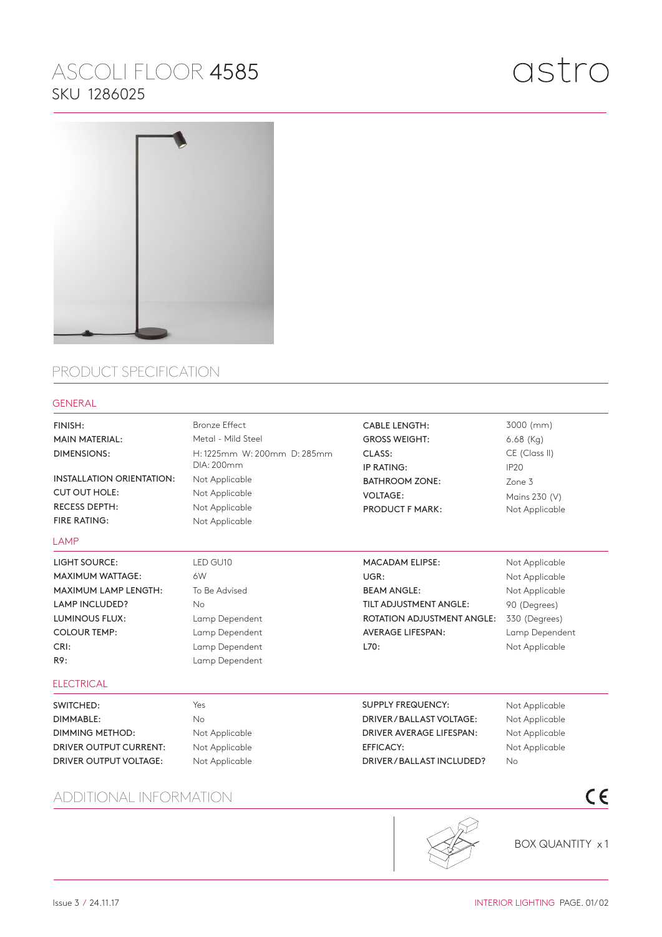## ASCOLI FLOOR 4585 SKU 1286025



## PRODUCT SPECIFICATION

## GENERAL

| FINISH:                          | <b>Bronze Effect</b>        | <b>CABLE LENGTH:</b>              | 3000 (mm)        |
|----------------------------------|-----------------------------|-----------------------------------|------------------|
| <b>MAIN MATERIAL:</b>            | Metal - Mild Steel          | <b>GROSS WEIGHT:</b>              | $6.68$ (Kg)      |
| <b>DIMENSIONS:</b>               | H: 1225mm W: 200mm D: 285mm | CLASS:                            | CE (Class II)    |
|                                  | DIA: 200mm                  | IP RATING:                        | IP <sub>20</sub> |
| <b>INSTALLATION ORIENTATION:</b> | Not Applicable              | <b>BATHROOM ZONE:</b>             | Zone 3           |
| <b>CUT OUT HOLE:</b>             | Not Applicable              | <b>VOLTAGE:</b>                   | Mains 230 (V)    |
| <b>RECESS DEPTH:</b>             | Not Applicable              | <b>PRODUCT F MARK:</b>            | Not Applicable   |
| <b>FIRE RATING:</b>              | Not Applicable              |                                   |                  |
| <b>LAMP</b>                      |                             |                                   |                  |
| <b>LIGHT SOURCE:</b>             | LED GU10                    | <b>MACADAM ELIPSE:</b>            | Not Applicable   |
| <b>MAXIMUM WATTAGE:</b>          | 6W                          | UGR:                              | Not Applicable   |
| MAXIMUM LAMP LENGTH:             | To Be Advised               | <b>BEAM ANGLE:</b>                | Not Applicable   |
| LAMP INCLUDED?                   | <b>No</b>                   | TILT ADJUSTMENT ANGLE:            | 90 (Degrees)     |
| <b>LUMINOUS FLUX:</b>            | Lamp Dependent              | <b>ROTATION ADJUSTMENT ANGLE:</b> | 330 (Degrees)    |
| <b>COLOUR TEMP:</b>              | Lamp Dependent              | <b>AVERAGE LIFESPAN:</b>          | Lamp Dependent   |
| CRI:                             | Lamp Dependent              | L70:                              | Not Applicable   |
| R9:                              | Lamp Dependent              |                                   |                  |
| <b>ELECTRICAL</b>                |                             |                                   |                  |
| SWITCHED:                        | Yes                         | <b>SUPPLY FREQUENCY:</b>          | Not Applicable   |
| <b>DIMMABLE:</b>                 | <b>No</b>                   | DRIVER / BALLAST VOLTAGE:         | Not Applicable   |
| <b>DIMMING METHOD:</b>           | Not Applicable              | DRIVER AVERAGE LIFESPAN:          | Not Applicable   |
| <b>DRIVER OUTPUT CURRENT:</b>    | Not Applicable              | <b>EFFICACY:</b>                  | Not Applicable   |
| DRIVER OUTPUT VOLTAGE:           | Not Applicable              | DRIVER/BALLAST INCLUDED?          | <b>No</b>        |
| TIONAL INFORMATION<br>ADD        |                             |                                   | $\epsilon$       |



BOX QUANTITY x 1